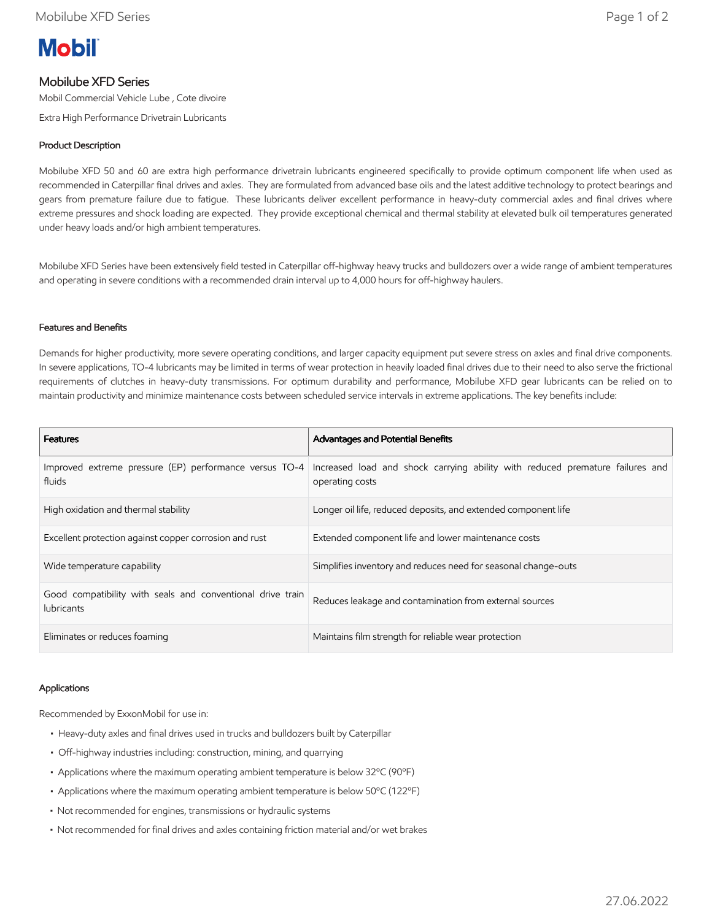# **Mobil**

## Mobilube XFD Series

Mobil Commercial Vehicle Lube , Cote divoire

Extra High Performance Drivetrain Lubricants

### Product Description

Mobilube XFD 50 and 60 are extra high performance drivetrain lubricants engineered specifically to provide optimum component life when used as recommended in Caterpillar final drives and axles. They are formulated from advanced base oils and the latest additive technology to protect bearings and gears from premature failure due to fatigue. These lubricants deliver excellent performance in heavy-duty commercial axles and final drives where extreme pressures and shock loading are expected. They provide exceptional chemical and thermal stability at elevated bulk oil temperatures generated under heavy loads and/or high ambient temperatures.

Mobilube XFD Series have been extensively field tested in Caterpillar off-highway heavy trucks and bulldozers over a wide range of ambient temperatures and operating in severe conditions with a recommended drain interval up to 4,000 hours for off-highway haulers.

#### Features and Benefits

Demands for higher productivity, more severe operating conditions, and larger capacity equipment put severe stress on axles and final drive components. In severe applications, TO-4 lubricants may be limited in terms of wear protection in heavily loaded final drives due to their need to also serve the frictional requirements of clutches in heavy-duty transmissions. For optimum durability and performance, Mobilube XFD gear lubricants can be relied on to maintain productivity and minimize maintenance costs between scheduled service intervals in extreme applications. The key benefits include:

| <b>Features</b>                                                                 | Advantages and Potential Benefits                                                                |
|---------------------------------------------------------------------------------|--------------------------------------------------------------------------------------------------|
| Improved extreme pressure (EP) performance versus TO-4<br>fluids                | Increased load and shock carrying ability with reduced premature failures and<br>operating costs |
| High oxidation and thermal stability                                            | Longer oil life, reduced deposits, and extended component life                                   |
| Excellent protection against copper corrosion and rust                          | Extended component life and lower maintenance costs                                              |
| Wide temperature capability                                                     | Simplifies inventory and reduces need for seasonal change-outs                                   |
| Good compatibility with seals and conventional drive train<br><b>lubricants</b> | Reduces leakage and contamination from external sources                                          |
| Eliminates or reduces foaming                                                   | Maintains film strength for reliable wear protection                                             |

#### Applications

Recommended by ExxonMobil for use in:

- Heavy-duty axles and final drives used in trucks and bulldozers built by Caterpillar
- Off-highway industries including: construction, mining, and quarrying
- Applications where the maximum operating ambient temperature is below 32ºC (90ºF)
- Applications where the maximum operating ambient temperature is below 50ºC (122ºF)
- Not recommended for engines, transmissions or hydraulic systems
- Not recommended for final drives and axles containing friction material and/or wet brakes